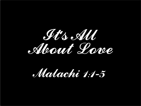

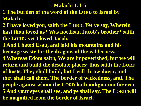#### **Malachi 1:1-5**

- **1 The burden of the word of the LORD to Israel by Malachi.**
- **2 I have loved you, saith the LORD. Yet ye say, Wherein hast thou loved us? Was not Esau Jacob's brother? saith the LORD: yet I loved Jacob,**
- **3 And I hated Esau, and laid his mountains and his heritage waste for the dragons of the wilderness.**
- **4 Whereas Edom saith, We are impoverished, but we will return and build the desolate places; thus saith the LORD of hosts, They shall build, but I will throw down; and**
- **they shall call them, The border of wickedness, and, The people against whom the LORD hath indignation for ever. 5 And your eyes shall see, and ye shall say, The LORD will be magnified from the border of Israel.**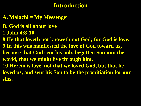### **Introduction**

**A. Malachi = My Messenger**

**B. God is all about love**

**1 John 4:8-10**

**8 He that loveth not knoweth not God; for God is love. 9 In this was manifested the love of God toward us, because that God sent his only begotten Son into the world, that we might live through him. 10 Herein is love, not that we loved God, but that he loved us, and sent his Son to be the propitiation for our sins.**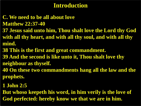### **Introduction**

- **C. We need to be all about love Matthew 22:37-40**
- **37 Jesus said unto him, Thou shalt love the Lord thy God with all thy heart, and with all thy soul, and with all thy mind.**
- **38 This is the first and great commandment.**
- **39 And the second is like unto it, Thou shalt love thy neighbour as thyself.**
- **40 On these two commandments hang all the law and the prophets.**
- **1 John 2:5**
- **But whoso keepeth his word, in him verily is the love of God perfected: hereby know we that we are in him.**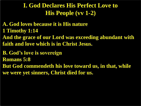## **I. God Declares His Perfect Love to His People (vv 1-2)**

- **A. God loves because it is His nature 1 Timothy 1:14**
- **And the grace of our Lord was exceeding abundant with faith and love which is in Christ Jesus.**
- **B. God's love is sovereign**
- **Romans 5:8**
- **But God commendeth his love toward us, in that, while we were yet sinners, Christ died for us.**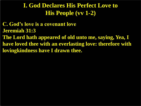## **I. God Declares His Perfect Love to His People (vv 1-2)**

**C. God's love is a covenant love Jeremiah 31:3 The Lord hath appeared of old unto me, saying, Yea, I have loved thee with an everlasting love: therefore with lovingkindness have I drawn thee.**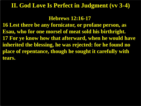#### **II. God Love Is Perfect in Judgment (vv 3-4)**

**Hebrews 12:16-17**

**16 Lest there be any fornicator, or profane person, as Esau, who for one morsel of meat sold his birthright. 17 For ye know how that afterward, when he would have inherited the blessing, he was rejected: for he found no place of repentance, though he sought it carefully with tears.**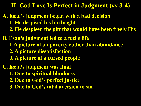#### **II. God Love Is Perfect in Judgment (vv 3-4)**

- **A. Esau's judgment began with a bad decision 1. He despised his birthright 2. He despised the gift that would have been freely His**
- **B. Esau's judgment led to a futile life 1.A picture of an poverty rather than abundance 2. A picture dissatisfaction 3. A picture of a cursed people**
- **C. Esau's judgment was final 1. Due to spiritual blindness 2. Due to God's perfect justice 3. Due to God's total aversion to sin**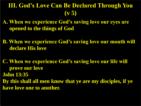# **III. God's Love Can Be Declared Through You (v 5)**

- **A. When we experience God's saving love our eyes are opened to the things of God**
- **B. When we experience God's saving love our mouth will declare His love**
- **C. When we experience God's saving love our life will prove our love John 13:35 By this shall all men know that ye are my disciples, if ye have love one to another.**